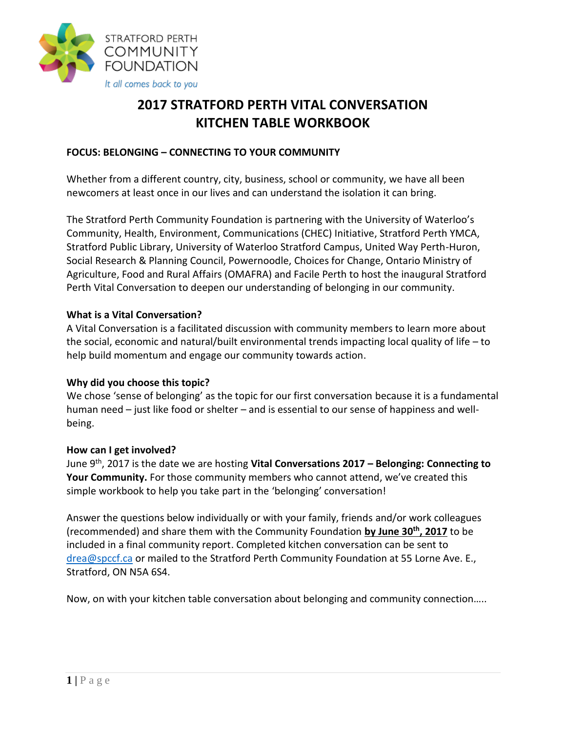

# **2017 STRATFORD PERTH VITAL CONVERSATION KITCHEN TABLE WORKBOOK**

#### **FOCUS: BELONGING – CONNECTING TO YOUR COMMUNITY**

Whether from a different country, city, business, school or community, we have all been newcomers at least once in our lives and can understand the isolation it can bring.

The Stratford Perth Community Foundation is partnering with the University of Waterloo's Community, Health, Environment, Communications (CHEC) Initiative, Stratford Perth YMCA, Stratford Public Library, University of Waterloo Stratford Campus, United Way Perth-Huron, Social Research & Planning Council, Powernoodle, Choices for Change, Ontario Ministry of Agriculture, Food and Rural Affairs (OMAFRA) and Facile Perth to host the inaugural Stratford Perth Vital Conversation to deepen our understanding of belonging in our community.

#### **What is a Vital Conversation?**

A Vital Conversation is a facilitated discussion with community members to learn more about the social, economic and natural/built environmental trends impacting local quality of life – to help build momentum and engage our community towards action.

#### **Why did you choose this topic?**

We chose 'sense of belonging' as the topic for our first conversation because it is a fundamental human need – just like food or shelter – and is essential to our sense of happiness and wellbeing.

#### **How can I get involved?**

June 9th, 2017 is the date we are hosting **Vital Conversations 2017 – Belonging: Connecting to Your Community.** For those community members who cannot attend, we've created this simple workbook to help you take part in the 'belonging' conversation!

Answer the questions below individually or with your family, friends and/or work colleagues (recommended) and share them with the Community Foundation **by June 30th, 2017** to be included in a final community report. Completed kitchen conversation can be sent to [drea@spccf.ca](mailto:drea@spccf.ca) or mailed to the Stratford Perth Community Foundation at 55 Lorne Ave. E., Stratford, ON N5A 6S4.

Now, on with your kitchen table conversation about belonging and community connection…..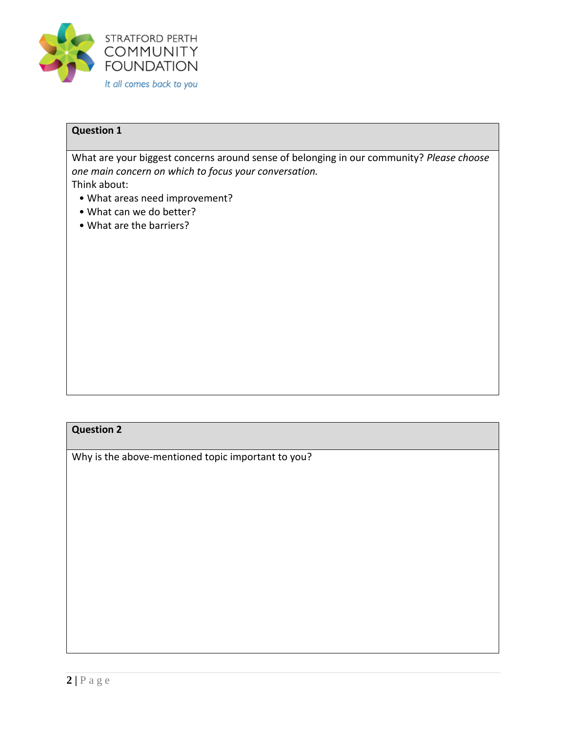

What are your biggest concerns around sense of belonging in our community? *Please choose one main concern on which to focus your conversation.* 

Think about:

- What areas need improvement?
- What can we do better?
- What are the barriers?

### **Question 2**

Why is the above-mentioned topic important to you?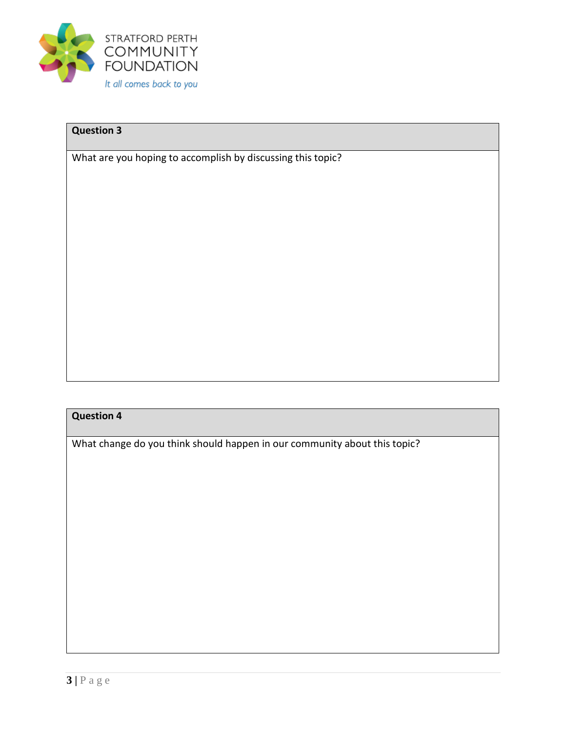

What are you hoping to accomplish by discussing this topic?

## **Question 4**

What change do you think should happen in our community about this topic?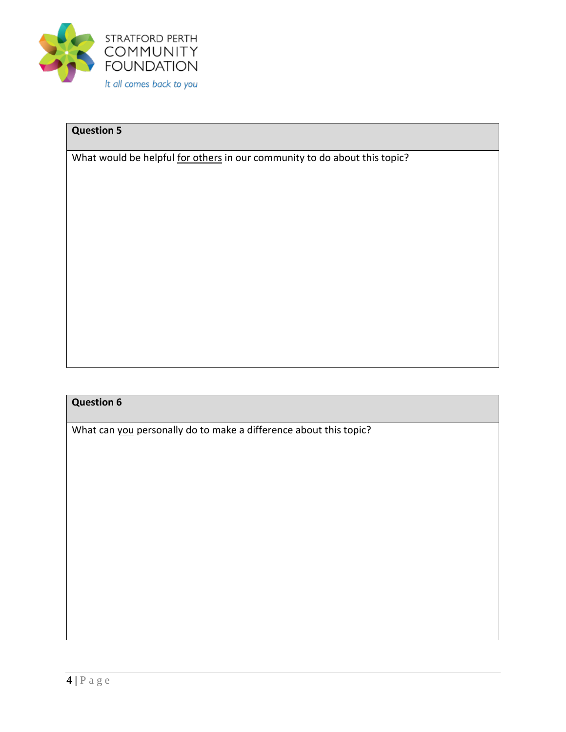

What would be helpful for others in our community to do about this topic?

# **Question 6**

What can you personally do to make a difference about this topic?